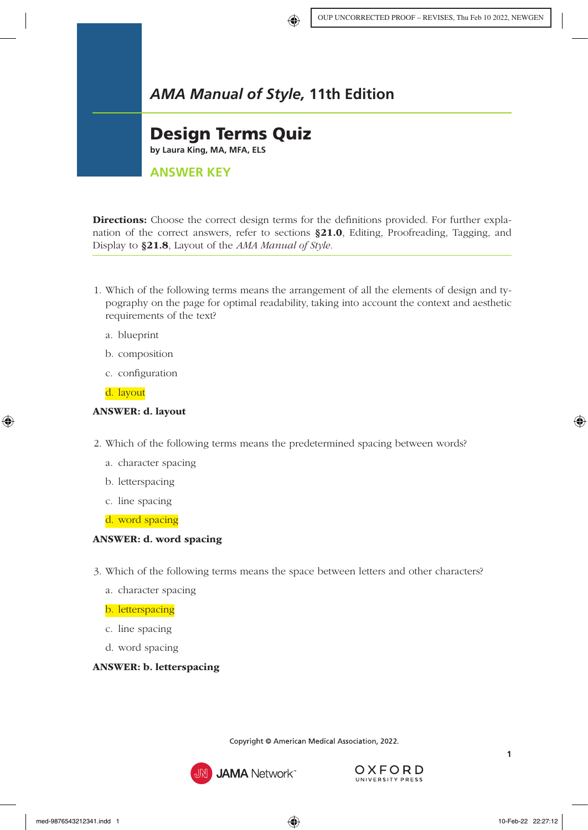# *AMA Manual of Style,* **11th Edition**

## Design Terms Quiz

**by Laura King, MA, MFA, ELS**

## **ANSWER KEY**

Directions: Choose the correct design terms for the definitions provided. For further explanation of the correct answers, refer to sections §21.0[, Editing, Proofreading, Tagging, and](https://www.amamanualofstyle.com/view/10.1093/jama/9780190246556.001.0001/med-9780190246556-chapter-21)  [Display](https://www.amamanualofstyle.com/view/10.1093/jama/9780190246556.001.0001/med-9780190246556-chapter-21) to §21.8[, Layout](https://www.amamanualofstyle.com/view/10.1093/jama/9780190246556.001.0001/med-9780190246556-chapter-21-div1-8#) of the *AMA Manual of Style.*

- 1. Which of the following terms means the arrangement of all the elements of design and typography on the page for optimal readability, taking into account the context and aesthetic requirements of the text?
	- a. blueprint
	- b. composition
	- c. configuration
	- d. layout

#### ANSWER: d. layout

- 2. Which of the following terms means the predetermined spacing between words?
	- a. character spacing
	- b. letterspacing
	- c. line spacing
	- d. word spacing

#### ANSWER: d. word spacing

- 3. Which of the following terms means the space between letters and other characters?
	- a. character spacing

#### b. letterspacing

- c. line spacing
- d. word spacing

### ANSWER: b. letterspacing



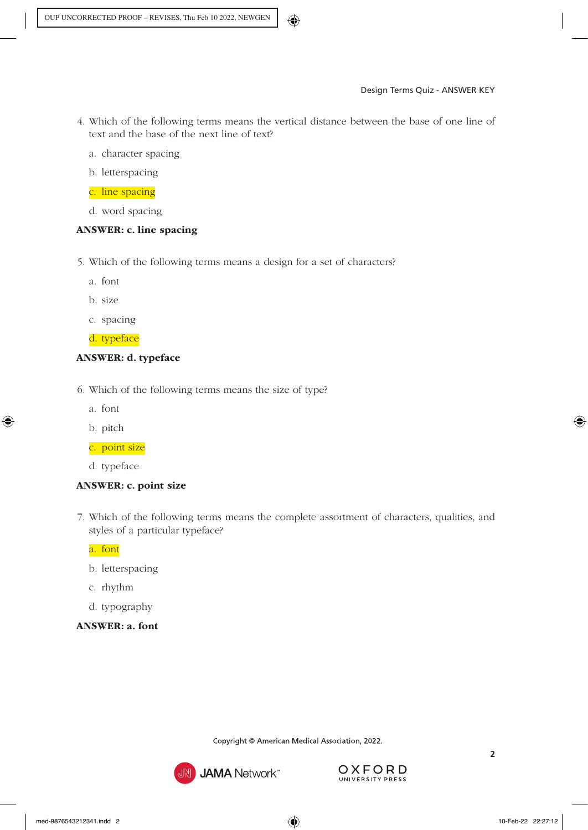- 4. Which of the following terms means the vertical distance between the base of one line of text and the base of the next line of text?
	- a. character spacing
	- b. letterspacing

## c. line spacing

d. word spacing

## ANSWER: c. line spacing

- 5. Which of the following terms means a design for a set of characters?
	- a. font
	- b. size
	- c. spacing

d. typeface

## ANSWER: d. typeface

- 6. Which of the following terms means the size of type?
	- a. font
	- b. pitch

### c. point size

d. typeface

## ANSWER: c. point size

7. Which of the following terms means the complete assortment of characters, qualities, and styles of a particular typeface?

a. font

- b. letterspacing
- c. rhythm
- d. typography
- ANSWER: a. font



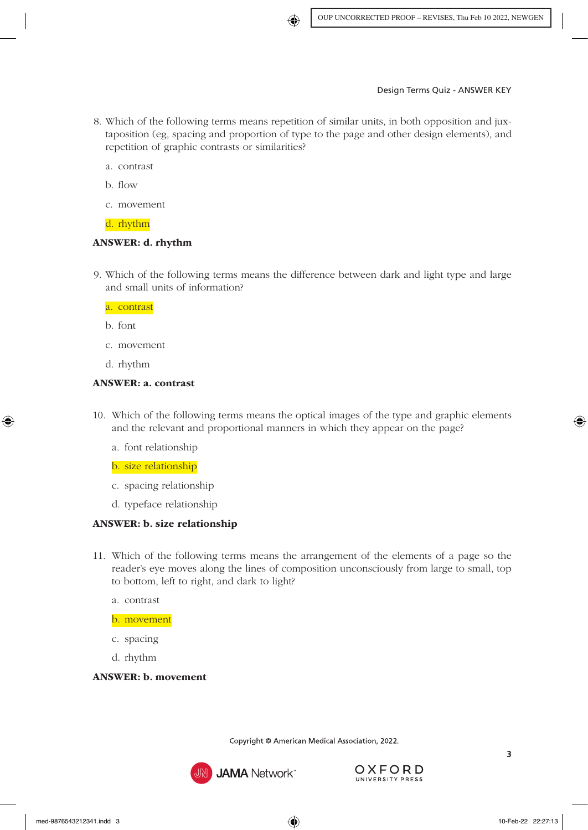- 8. Which of the following terms means repetition of similar units, in both opposition and juxtaposition (eg, spacing and proportion of type to the page and other design elements), and repetition of graphic contrasts or similarities?
	- a. contrast
	- b. flow
	- c. movement

d. rhythm

#### ANSWER: d. rhythm

9. Which of the following terms means the difference between dark and light type and large and small units of information?

a. contrast

b. font

- c. movement
- d. rhythm

#### ANSWER: a. contrast

- 10. Which of the following terms means the optical images of the type and graphic elements and the relevant and proportional manners in which they appear on the page?
	- a. font relationship
	- b. size relationship
	- c. spacing relationship
	- d. typeface relationship

### ANSWER: b. size relationship

- 11. Which of the following terms means the arrangement of the elements of a page so the reader's eye moves along the lines of composition unconsciously from large to small, top to bottom, left to right, and dark to light?
	- a. contrast

b. movement

- c. spacing
- d. rhythm

#### ANSWER: b. movement